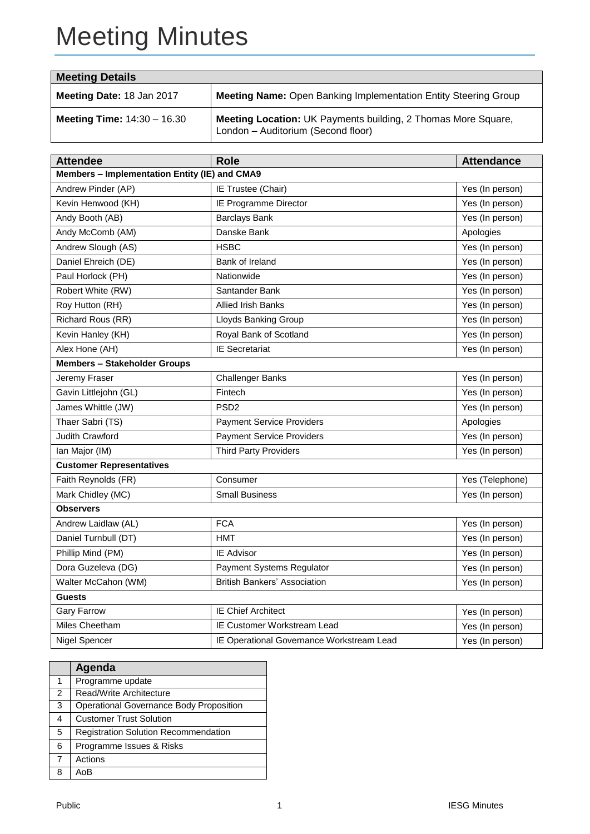# Meeting Minutes

| <b>Meeting Details</b>               |                                                                                                            |  |  |  |
|--------------------------------------|------------------------------------------------------------------------------------------------------------|--|--|--|
| Meeting Date: 18 Jan 2017            | Meeting Name: Open Banking Implementation Entity Steering Group                                            |  |  |  |
| <b>Meeting Time:</b> $14:30 - 16.30$ | <b>Meeting Location: UK Payments building, 2 Thomas More Square,</b><br>London - Auditorium (Second floor) |  |  |  |

| <b>Attendee</b>                               | <b>Role</b>                               | <b>Attendance</b> |  |  |  |  |  |
|-----------------------------------------------|-------------------------------------------|-------------------|--|--|--|--|--|
| Members - Implementation Entity (IE) and CMA9 |                                           |                   |  |  |  |  |  |
| Andrew Pinder (AP)                            | IE Trustee (Chair)                        | Yes (In person)   |  |  |  |  |  |
| Kevin Henwood (KH)                            | IE Programme Director                     | Yes (In person)   |  |  |  |  |  |
| Andy Booth (AB)                               | <b>Barclays Bank</b>                      | Yes (In person)   |  |  |  |  |  |
| Andy McComb (AM)                              | Danske Bank                               | Apologies         |  |  |  |  |  |
| Andrew Slough (AS)                            | <b>HSBC</b>                               | Yes (In person)   |  |  |  |  |  |
| Daniel Ehreich (DE)                           | Bank of Ireland                           | Yes (In person)   |  |  |  |  |  |
| Paul Horlock (PH)                             | Nationwide                                | Yes (In person)   |  |  |  |  |  |
| Robert White (RW)                             | Santander Bank                            | Yes (In person)   |  |  |  |  |  |
| Roy Hutton (RH)                               | <b>Allied Irish Banks</b>                 | Yes (In person)   |  |  |  |  |  |
| Richard Rous (RR)                             | Lloyds Banking Group                      | Yes (In person)   |  |  |  |  |  |
| Kevin Hanley (KH)                             | Royal Bank of Scotland                    | Yes (In person)   |  |  |  |  |  |
| Alex Hone (AH)                                | <b>IE Secretariat</b>                     | Yes (In person)   |  |  |  |  |  |
| <b>Members - Stakeholder Groups</b>           |                                           |                   |  |  |  |  |  |
| Jeremy Fraser                                 | <b>Challenger Banks</b>                   | Yes (In person)   |  |  |  |  |  |
| Gavin Littlejohn (GL)                         | Fintech                                   | Yes (In person)   |  |  |  |  |  |
| James Whittle (JW)                            | PSD <sub>2</sub>                          | Yes (In person)   |  |  |  |  |  |
| Thaer Sabri (TS)                              | <b>Payment Service Providers</b>          | Apologies         |  |  |  |  |  |
| Judith Crawford                               | <b>Payment Service Providers</b>          | Yes (In person)   |  |  |  |  |  |
| Ian Major (IM)                                | <b>Third Party Providers</b>              | Yes (In person)   |  |  |  |  |  |
| <b>Customer Representatives</b>               |                                           |                   |  |  |  |  |  |
| Faith Reynolds (FR)                           | Consumer                                  | Yes (Telephone)   |  |  |  |  |  |
| Mark Chidley (MC)                             | <b>Small Business</b>                     | Yes (In person)   |  |  |  |  |  |
| <b>Observers</b>                              |                                           |                   |  |  |  |  |  |
| Andrew Laidlaw (AL)                           | <b>FCA</b>                                | Yes (In person)   |  |  |  |  |  |
| Daniel Turnbull (DT)                          | <b>HMT</b>                                | Yes (In person)   |  |  |  |  |  |
| Phillip Mind (PM)                             | IE Advisor                                | Yes (In person)   |  |  |  |  |  |
| Dora Guzeleva (DG)                            | Payment Systems Regulator                 | Yes (In person)   |  |  |  |  |  |
| Walter McCahon (WM)                           | <b>British Bankers' Association</b>       | Yes (In person)   |  |  |  |  |  |
| <b>Guests</b>                                 |                                           |                   |  |  |  |  |  |
| <b>Gary Farrow</b>                            | <b>IE Chief Architect</b>                 | Yes (In person)   |  |  |  |  |  |
| Miles Cheetham                                | IE Customer Workstream Lead               | Yes (In person)   |  |  |  |  |  |
| Nigel Spencer                                 | IE Operational Governance Workstream Lead | Yes (In person)   |  |  |  |  |  |

|                | Agenda                                         |
|----------------|------------------------------------------------|
| 1              | Programme update                               |
| 2              | Read/Write Architecture                        |
| 3              | <b>Operational Governance Body Proposition</b> |
| 4              | <b>Customer Trust Solution</b>                 |
| 5              | <b>Registration Solution Recommendation</b>    |
| 6              | Programme Issues & Risks                       |
| $\overline{7}$ | Actions                                        |
| 8              | A∩B                                            |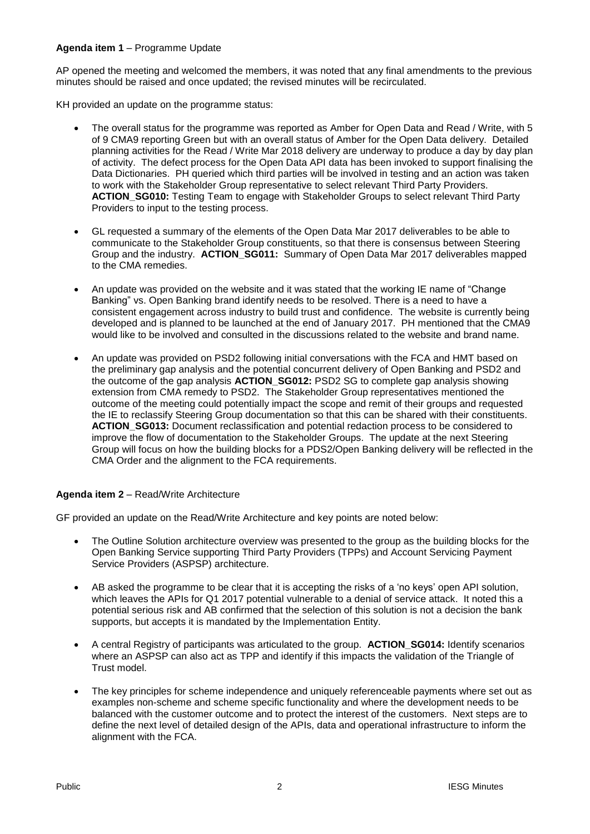# **Agenda item 1** – Programme Update

AP opened the meeting and welcomed the members, it was noted that any final amendments to the previous minutes should be raised and once updated; the revised minutes will be recirculated.

KH provided an update on the programme status:

- The overall status for the programme was reported as Amber for Open Data and Read / Write, with 5 of 9 CMA9 reporting Green but with an overall status of Amber for the Open Data delivery. Detailed planning activities for the Read / Write Mar 2018 delivery are underway to produce a day by day plan of activity. The defect process for the Open Data API data has been invoked to support finalising the Data Dictionaries. PH queried which third parties will be involved in testing and an action was taken to work with the Stakeholder Group representative to select relevant Third Party Providers. **ACTION\_SG010:** Testing Team to engage with Stakeholder Groups to select relevant Third Party Providers to input to the testing process.
- GL requested a summary of the elements of the Open Data Mar 2017 deliverables to be able to communicate to the Stakeholder Group constituents, so that there is consensus between Steering Group and the industry. **ACTION\_SG011:** Summary of Open Data Mar 2017 deliverables mapped to the CMA remedies.
- An update was provided on the website and it was stated that the working IE name of "Change Banking" vs. Open Banking brand identify needs to be resolved. There is a need to have a consistent engagement across industry to build trust and confidence. The website is currently being developed and is planned to be launched at the end of January 2017. PH mentioned that the CMA9 would like to be involved and consulted in the discussions related to the website and brand name.
- An update was provided on PSD2 following initial conversations with the FCA and HMT based on the preliminary gap analysis and the potential concurrent delivery of Open Banking and PSD2 and the outcome of the gap analysis **ACTION\_SG012:** PSD2 SG to complete gap analysis showing extension from CMA remedy to PSD2. The Stakeholder Group representatives mentioned the outcome of the meeting could potentially impact the scope and remit of their groups and requested the IE to reclassify Steering Group documentation so that this can be shared with their constituents. **ACTION\_SG013:** Document reclassification and potential redaction process to be considered to improve the flow of documentation to the Stakeholder Groups. The update at the next Steering Group will focus on how the building blocks for a PDS2/Open Banking delivery will be reflected in the CMA Order and the alignment to the FCA requirements.

# **Agenda item 2** – Read/Write Architecture

GF provided an update on the Read/Write Architecture and key points are noted below:

- The Outline Solution architecture overview was presented to the group as the building blocks for the Open Banking Service supporting Third Party Providers (TPPs) and Account Servicing Payment Service Providers (ASPSP) architecture.
- AB asked the programme to be clear that it is accepting the risks of a 'no keys' open API solution, which leaves the APIs for Q1 2017 potential vulnerable to a denial of service attack. It noted this a potential serious risk and AB confirmed that the selection of this solution is not a decision the bank supports, but accepts it is mandated by the Implementation Entity.
- A central Registry of participants was articulated to the group. **ACTION\_SG014:** Identify scenarios where an ASPSP can also act as TPP and identify if this impacts the validation of the Triangle of Trust model.
- The key principles for scheme independence and uniquely referenceable payments where set out as examples non-scheme and scheme specific functionality and where the development needs to be balanced with the customer outcome and to protect the interest of the customers. Next steps are to define the next level of detailed design of the APIs, data and operational infrastructure to inform the alignment with the FCA.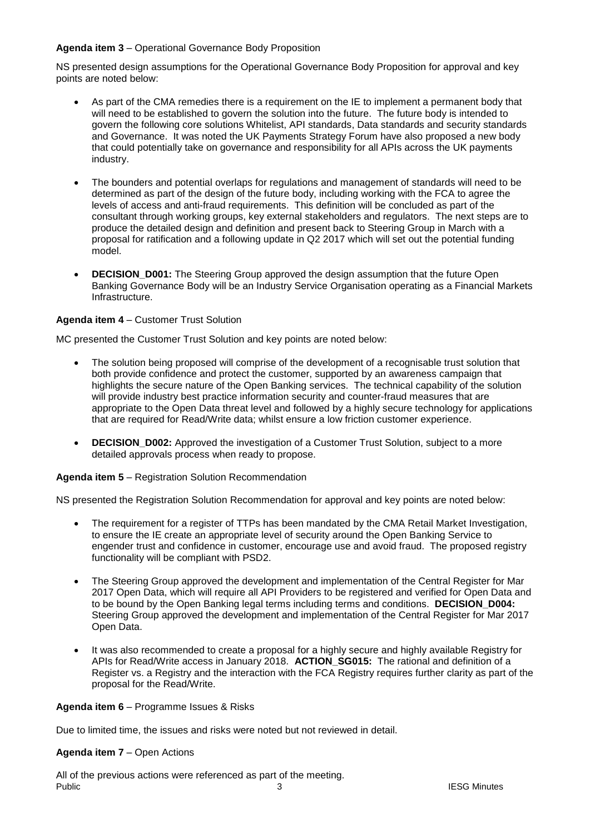# **Agenda item 3** – Operational Governance Body Proposition

NS presented design assumptions for the Operational Governance Body Proposition for approval and key points are noted below:

- As part of the CMA remedies there is a requirement on the IE to implement a permanent body that will need to be established to govern the solution into the future. The future body is intended to govern the following core solutions Whitelist, API standards, Data standards and security standards and Governance. It was noted the UK Payments Strategy Forum have also proposed a new body that could potentially take on governance and responsibility for all APIs across the UK payments industry.
- The bounders and potential overlaps for regulations and management of standards will need to be determined as part of the design of the future body, including working with the FCA to agree the levels of access and anti-fraud requirements. This definition will be concluded as part of the consultant through working groups, key external stakeholders and regulators. The next steps are to produce the detailed design and definition and present back to Steering Group in March with a proposal for ratification and a following update in Q2 2017 which will set out the potential funding model.
- **• DECISION\_D001:** The Steering Group approved the design assumption that the future Open Banking Governance Body will be an Industry Service Organisation operating as a Financial Markets Infrastructure.

# **Agenda item 4** – Customer Trust Solution

MC presented the Customer Trust Solution and key points are noted below:

- The solution being proposed will comprise of the development of a recognisable trust solution that both provide confidence and protect the customer, supported by an awareness campaign that highlights the secure nature of the Open Banking services. The technical capability of the solution will provide industry best practice information security and counter-fraud measures that are appropriate to the Open Data threat level and followed by a highly secure technology for applications that are required for Read/Write data; whilst ensure a low friction customer experience.
- **DECISION\_D002:** Approved the investigation of a Customer Trust Solution, subject to a more detailed approvals process when ready to propose.

#### **Agenda item 5** – Registration Solution Recommendation

NS presented the Registration Solution Recommendation for approval and key points are noted below:

- The requirement for a register of TTPs has been mandated by the CMA Retail Market Investigation, to ensure the IE create an appropriate level of security around the Open Banking Service to engender trust and confidence in customer, encourage use and avoid fraud. The proposed registry functionality will be compliant with PSD2.
- The Steering Group approved the development and implementation of the Central Register for Mar 2017 Open Data, which will require all API Providers to be registered and verified for Open Data and to be bound by the Open Banking legal terms including terms and conditions. **DECISION\_D004:** Steering Group approved the development and implementation of the Central Register for Mar 2017 Open Data.
- It was also recommended to create a proposal for a highly secure and highly available Registry for APIs for Read/Write access in January 2018. **ACTION\_SG015:** The rational and definition of a Register vs. a Registry and the interaction with the FCA Registry requires further clarity as part of the proposal for the Read/Write.

#### **Agenda item 6** – Programme Issues & Risks

Due to limited time, the issues and risks were noted but not reviewed in detail.

#### **Agenda item 7** – Open Actions

Public **3 1999 1999 1999 1999 1999 1999 1999 1999 1999 1999 1999 1999 1999 1999 1999 1999 1999 1999 1999 1999 1999 1999 1999 1999 1999 1999 1999 1999 1999 1999** All of the previous actions were referenced as part of the meeting.